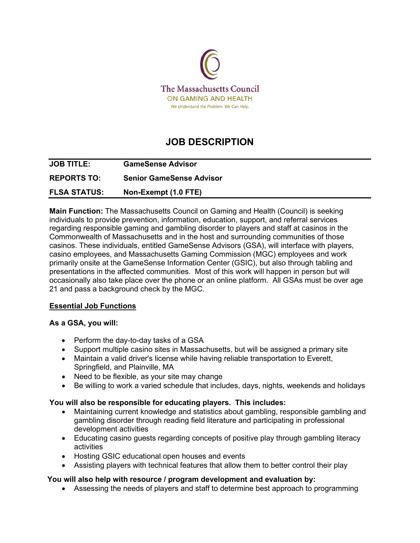

# **JOB DESCRIPTION**

| <b>JOB TITLE:</b>   | <b>GameSense Advisor</b>        |
|---------------------|---------------------------------|
| <b>REPORTS TO:</b>  | <b>Senior GameSense Advisor</b> |
| <b>FLSA STATUS:</b> | Non-Exempt (1.0 FTE)            |

**Main Function:** The Massachusetts Council on Gaming and Health (Council) is seeking individuals to provide prevention, information, education, support, and referral services regarding responsible gaming and gambling disorder to players and staff at casinos in the Commonwealth of Massachusetts and in the host and surrounding communities of those casinos. These individuals, entitled GameSense Advisors (GSA), will interface with players, casino employees, and Massachusetts Gaming Commission (MGC) employees and work primarily onsite at the GameSense Information Center (GSIC), but also through tabling and presentations in the affected communities. Most of this work will happen in person but will occasionally also take place over the phone or an online platform. All GSAs must be over age 21 and pass a background check by the MGC.

## **Essential Job Functions**

## **As a GSA, you will:**

- Perform the day-to-day tasks of a GSA
- Support multiple casino sites in Massachusetts, but will be assigned a primary site
- Maintain a valid driver's license while having reliable transportation to Everett, Springfield, and Plainville, MA
- Need to be flexible, as your site may change
- Be willing to work a varied schedule that includes, days, nights, weekends and holidays

## **You will also be responsible for educating players. This includes:**

- Maintaining current knowledge and statistics about gambling, responsible gambling and gambling disorder through reading field literature and participating in professional development activities
- Educating casino guests regarding concepts of positive play through gambling literacy activities
- Hosting GSIC educational open houses and events
- Assisting players with technical features that allow them to better control their play

# **You will also help with resource / program development and evaluation by:**

• Assessing the needs of players and staff to determine best approach to programming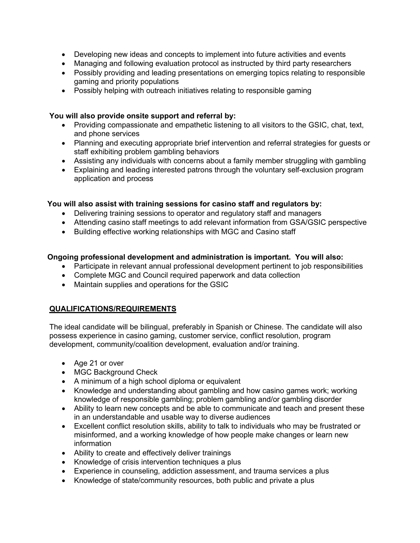- Developing new ideas and concepts to implement into future activities and events
- Managing and following evaluation protocol as instructed by third party researchers
- Possibly providing and leading presentations on emerging topics relating to responsible gaming and priority populations
- Possibly helping with outreach initiatives relating to responsible gaming

## **You will also provide onsite support and referral by:**

- Providing compassionate and empathetic listening to all visitors to the GSIC, chat, text, and phone services
- Planning and executing appropriate brief intervention and referral strategies for guests or staff exhibiting problem gambling behaviors
- Assisting any individuals with concerns about a family member struggling with gambling
- Explaining and leading interested patrons through the voluntary self-exclusion program application and process

# **You will also assist with training sessions for casino staff and regulators by:**

- Delivering training sessions to operator and regulatory staff and managers
- Attending casino staff meetings to add relevant information from GSA/GSIC perspective
- Building effective working relationships with MGC and Casino staff

# **Ongoing professional development and administration is important. You will also:**

- Participate in relevant annual professional development pertinent to job responsibilities
- Complete MGC and Council required paperwork and data collection
- Maintain supplies and operations for the GSIC

# **QUALIFICATIONS/REQUIREMENTS**

The ideal candidate will be bilingual, preferably in Spanish or Chinese. The candidate will also possess experience in casino gaming, customer service, conflict resolution, program development, community/coalition development, evaluation and/or training.

- Age 21 or over
- MGC Background Check
- A minimum of a high school diploma or equivalent
- Knowledge and understanding about gambling and how casino games work; working knowledge of responsible gambling; problem gambling and/or gambling disorder
- Ability to learn new concepts and be able to communicate and teach and present these in an understandable and usable way to diverse audiences
- Excellent conflict resolution skills, ability to talk to individuals who may be frustrated or misinformed, and a working knowledge of how people make changes or learn new information
- Ability to create and effectively deliver trainings
- Knowledge of crisis intervention techniques a plus
- Experience in counseling, addiction assessment, and trauma services a plus
- Knowledge of state/community resources, both public and private a plus